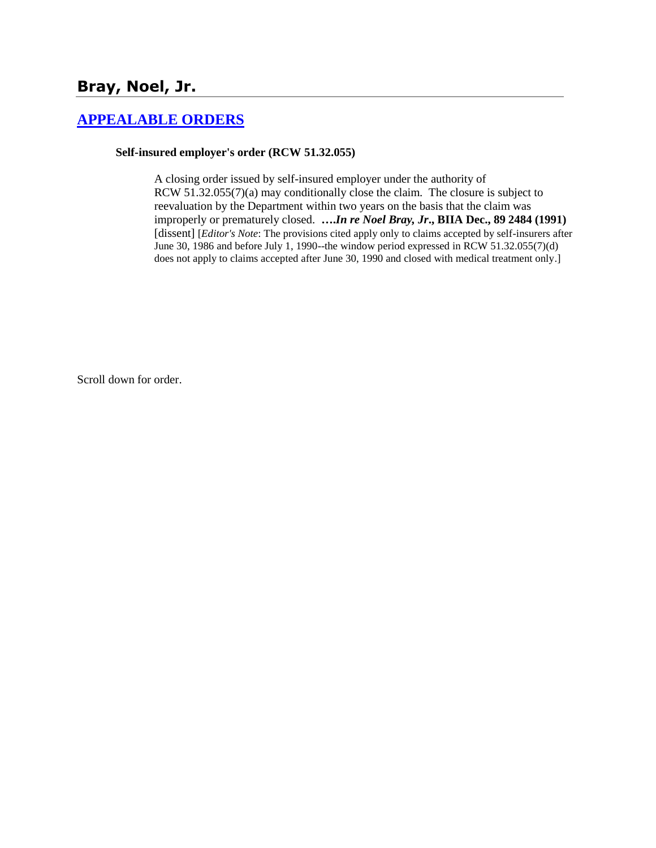# **Bray, Noel, Jr.**

## **[APPEALABLE ORDERS](http://www.biia.wa.gov/SDSubjectIndex.html#APPEALABLE_ORDERS)**

#### **Self-insured employer's order (RCW 51.32.055)**

A closing order issued by self-insured employer under the authority of RCW 51.32.055(7)(a) may conditionally close the claim. The closure is subject to reevaluation by the Department within two years on the basis that the claim was improperly or prematurely closed. **….***In re Noel Bray, Jr***., BIIA Dec., 89 2484 (1991)**  [dissent] [*Editor's Note*: The provisions cited apply only to claims accepted by self-insurers after June 30, 1986 and before July 1, 1990--the window period expressed in RCW 51.32.055(7)(d) does not apply to claims accepted after June 30, 1990 and closed with medical treatment only.]

Scroll down for order.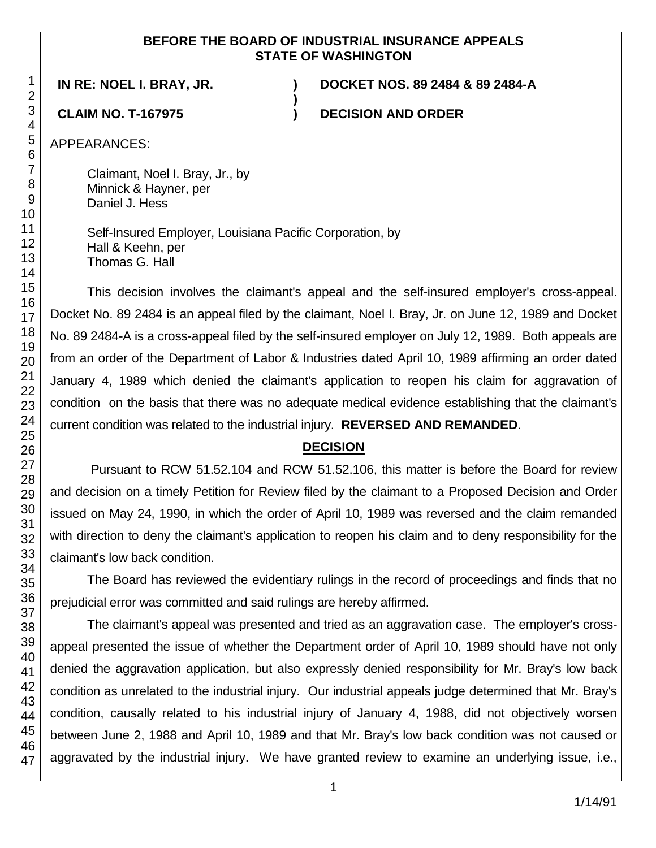### **BEFORE THE BOARD OF INDUSTRIAL INSURANCE APPEALS STATE OF WASHINGTON**

**)**

**IN RE: NOEL I. BRAY, JR. ) DOCKET NOS. 89 2484 & 89 2484-A**

**CLAIM NO. T-167975 ) DECISION AND ORDER**

APPEARANCES:

Claimant, Noel I. Bray, Jr., by Minnick & Hayner, per Daniel J. Hess

Self-Insured Employer, Louisiana Pacific Corporation, by Hall & Keehn, per Thomas G. Hall

This decision involves the claimant's appeal and the self-insured employer's cross-appeal. Docket No. 89 2484 is an appeal filed by the claimant, Noel I. Bray, Jr. on June 12, 1989 and Docket No. 89 2484-A is a cross-appeal filed by the self-insured employer on July 12, 1989. Both appeals are from an order of the Department of Labor & Industries dated April 10, 1989 affirming an order dated January 4, 1989 which denied the claimant's application to reopen his claim for aggravation of condition on the basis that there was no adequate medical evidence establishing that the claimant's current condition was related to the industrial injury. **REVERSED AND REMANDED**.

# **DECISION**

Pursuant to RCW 51.52.104 and RCW 51.52.106, this matter is before the Board for review and decision on a timely Petition for Review filed by the claimant to a Proposed Decision and Order issued on May 24, 1990, in which the order of April 10, 1989 was reversed and the claim remanded with direction to deny the claimant's application to reopen his claim and to deny responsibility for the claimant's low back condition.

The Board has reviewed the evidentiary rulings in the record of proceedings and finds that no prejudicial error was committed and said rulings are hereby affirmed.

The claimant's appeal was presented and tried as an aggravation case. The employer's crossappeal presented the issue of whether the Department order of April 10, 1989 should have not only denied the aggravation application, but also expressly denied responsibility for Mr. Bray's low back condition as unrelated to the industrial injury. Our industrial appeals judge determined that Mr. Bray's condition, causally related to his industrial injury of January 4, 1988, did not objectively worsen between June 2, 1988 and April 10, 1989 and that Mr. Bray's low back condition was not caused or aggravated by the industrial injury. We have granted review to examine an underlying issue, i.e.,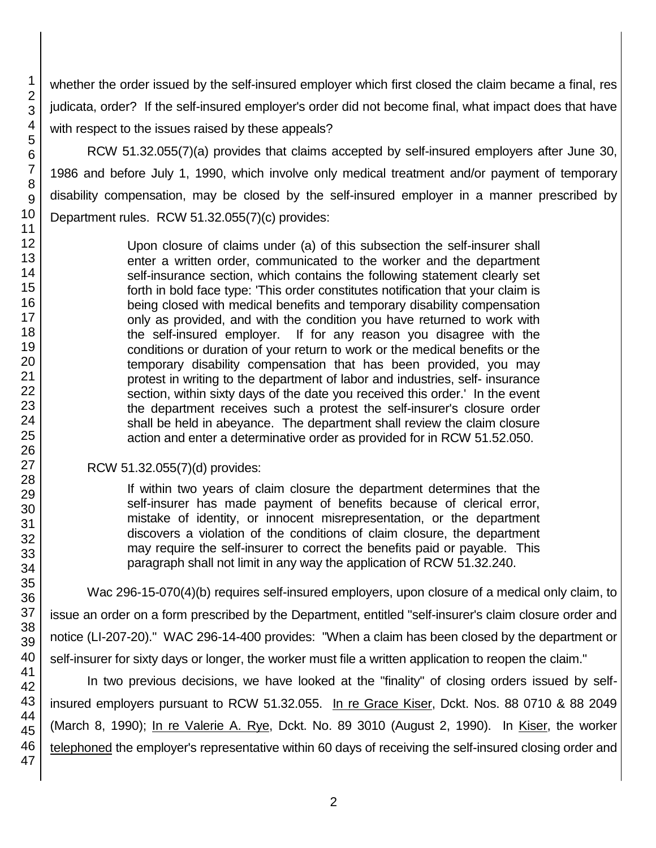whether the order issued by the self-insured employer which first closed the claim became a final, res judicata, order? If the self-insured employer's order did not become final, what impact does that have with respect to the issues raised by these appeals?

RCW 51.32.055(7)(a) provides that claims accepted by self-insured employers after June 30, 1986 and before July 1, 1990, which involve only medical treatment and/or payment of temporary disability compensation, may be closed by the self-insured employer in a manner prescribed by Department rules. RCW 51.32.055(7)(c) provides:

> Upon closure of claims under (a) of this subsection the self-insurer shall enter a written order, communicated to the worker and the department self-insurance section, which contains the following statement clearly set forth in bold face type: 'This order constitutes notification that your claim is being closed with medical benefits and temporary disability compensation only as provided, and with the condition you have returned to work with the self-insured employer. If for any reason you disagree with the conditions or duration of your return to work or the medical benefits or the temporary disability compensation that has been provided, you may protest in writing to the department of labor and industries, self- insurance section, within sixty days of the date you received this order.' In the event the department receives such a protest the self-insurer's closure order shall be held in abeyance. The department shall review the claim closure action and enter a determinative order as provided for in RCW 51.52.050.

# RCW 51.32.055(7)(d) provides:

If within two years of claim closure the department determines that the self-insurer has made payment of benefits because of clerical error, mistake of identity, or innocent misrepresentation, or the department discovers a violation of the conditions of claim closure, the department may require the self-insurer to correct the benefits paid or payable. This paragraph shall not limit in any way the application of RCW 51.32.240.

Wac 296-15-070(4)(b) requires self-insured employers, upon closure of a medical only claim, to issue an order on a form prescribed by the Department, entitled "self-insurer's claim closure order and notice (LI-207-20)." WAC 296-14-400 provides: "When a claim has been closed by the department or self-insurer for sixty days or longer, the worker must file a written application to reopen the claim."

In two previous decisions, we have looked at the "finality" of closing orders issued by selfinsured employers pursuant to RCW 51.32.055. In re Grace Kiser, Dckt. Nos. 88 0710 & 88 2049 (March 8, 1990); In re Valerie A. Rye, Dckt. No. 89 3010 (August 2, 1990). In Kiser, the worker telephoned the employer's representative within 60 days of receiving the self-insured closing order and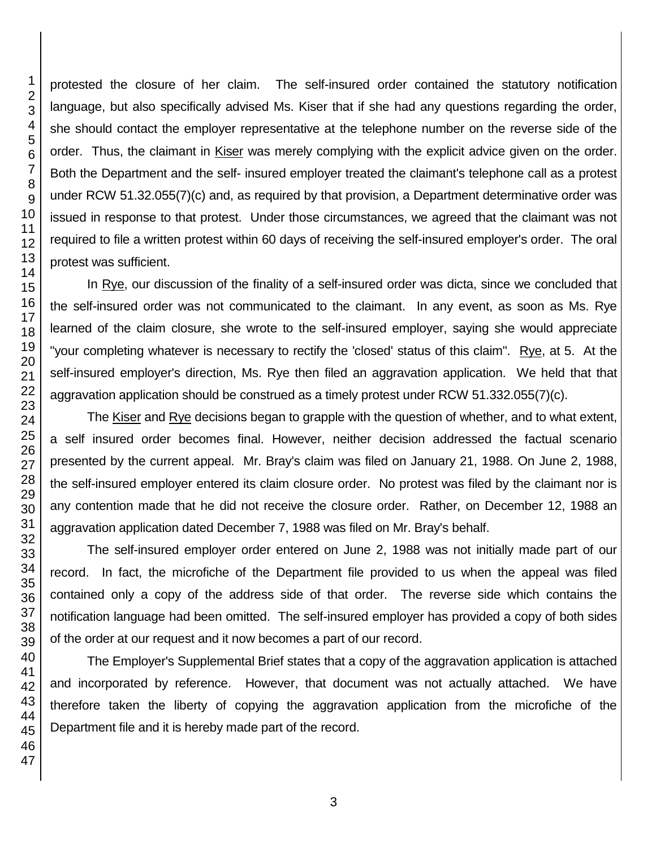protested the closure of her claim. The self-insured order contained the statutory notification language, but also specifically advised Ms. Kiser that if she had any questions regarding the order, she should contact the employer representative at the telephone number on the reverse side of the order. Thus, the claimant in Kiser was merely complying with the explicit advice given on the order. Both the Department and the self- insured employer treated the claimant's telephone call as a protest under RCW 51.32.055(7)(c) and, as required by that provision, a Department determinative order was issued in response to that protest. Under those circumstances, we agreed that the claimant was not required to file a written protest within 60 days of receiving the self-insured employer's order. The oral protest was sufficient.

In Rye, our discussion of the finality of a self-insured order was dicta, since we concluded that the self-insured order was not communicated to the claimant. In any event, as soon as Ms. Rye learned of the claim closure, she wrote to the self-insured employer, saying she would appreciate "your completing whatever is necessary to rectify the 'closed' status of this claim". Rye, at 5. At the self-insured employer's direction, Ms. Rye then filed an aggravation application. We held that that aggravation application should be construed as a timely protest under RCW 51.332.055(7)(c).

The Kiser and Rye decisions began to grapple with the question of whether, and to what extent, a self insured order becomes final. However, neither decision addressed the factual scenario presented by the current appeal. Mr. Bray's claim was filed on January 21, 1988. On June 2, 1988, the self-insured employer entered its claim closure order. No protest was filed by the claimant nor is any contention made that he did not receive the closure order. Rather, on December 12, 1988 an aggravation application dated December 7, 1988 was filed on Mr. Bray's behalf.

The self-insured employer order entered on June 2, 1988 was not initially made part of our record. In fact, the microfiche of the Department file provided to us when the appeal was filed contained only a copy of the address side of that order. The reverse side which contains the notification language had been omitted. The self-insured employer has provided a copy of both sides of the order at our request and it now becomes a part of our record.

The Employer's Supplemental Brief states that a copy of the aggravation application is attached and incorporated by reference. However, that document was not actually attached. We have therefore taken the liberty of copying the aggravation application from the microfiche of the Department file and it is hereby made part of the record.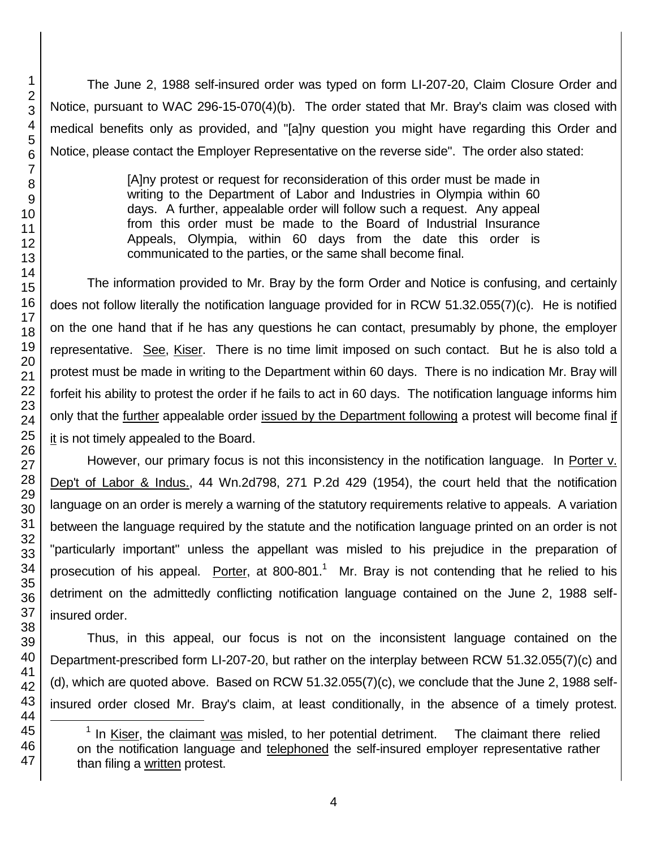The June 2, 1988 self-insured order was typed on form LI-207-20, Claim Closure Order and Notice, pursuant to WAC 296-15-070(4)(b). The order stated that Mr. Bray's claim was closed with medical benefits only as provided, and "[a]ny question you might have regarding this Order and Notice, please contact the Employer Representative on the reverse side". The order also stated:

> [A]ny protest or request for reconsideration of this order must be made in writing to the Department of Labor and Industries in Olympia within 60 days. A further, appealable order will follow such a request. Any appeal from this order must be made to the Board of Industrial Insurance Appeals, Olympia, within 60 days from the date this order is communicated to the parties, or the same shall become final.

The information provided to Mr. Bray by the form Order and Notice is confusing, and certainly does not follow literally the notification language provided for in RCW 51.32.055(7)(c). He is notified on the one hand that if he has any questions he can contact, presumably by phone, the employer representative. See, Kiser. There is no time limit imposed on such contact. But he is also told a protest must be made in writing to the Department within 60 days. There is no indication Mr. Bray will forfeit his ability to protest the order if he fails to act in 60 days. The notification language informs him only that the further appealable order issued by the Department following a protest will become final if it is not timely appealed to the Board.

However, our primary focus is not this inconsistency in the notification language. In Porter v. Dep't of Labor & Indus., 44 Wn.2d798, 271 P.2d 429 (1954), the court held that the notification language on an order is merely a warning of the statutory requirements relative to appeals. A variation between the language required by the statute and the notification language printed on an order is not "particularly important" unless the appellant was misled to his prejudice in the preparation of prosecution of his appeal. Porter, at 800-801.<sup>1</sup> Mr. Bray is not contending that he relied to his detriment on the admittedly conflicting notification language contained on the June 2, 1988 selfinsured order.

Thus, in this appeal, our focus is not on the inconsistent language contained on the Department-prescribed form LI-207-20, but rather on the interplay between RCW 51.32.055(7)(c) and (d), which are quoted above. Based on RCW 51.32.055(7)(c), we conclude that the June 2, 1988 selfinsured order closed Mr. Bray's claim, at least conditionally, in the absence of a timely protest.

l

 $1$  In Kiser, the claimant was misled, to her potential detriment. The claimant there relied on the notification language and telephoned the self-insured employer representative rather than filing a written protest.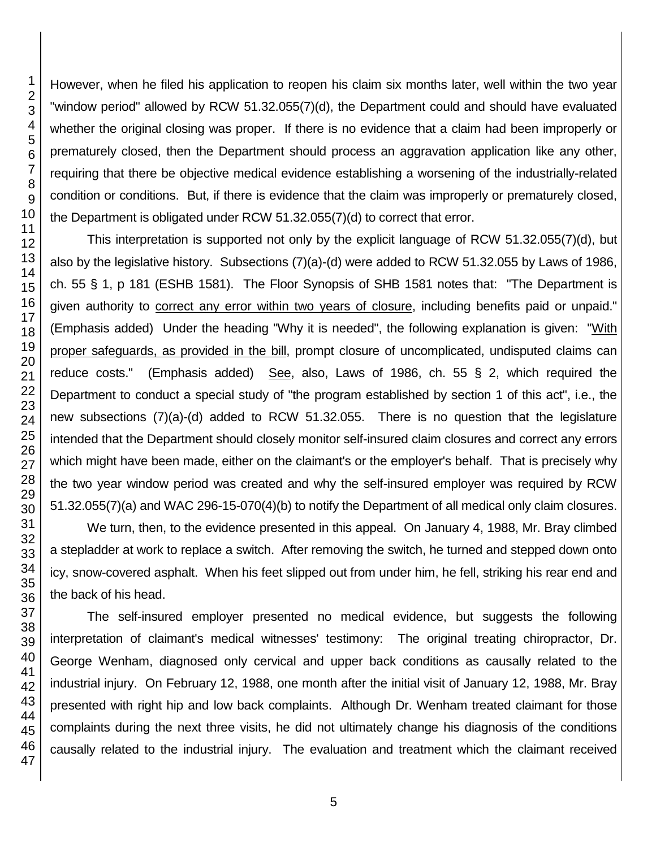However, when he filed his application to reopen his claim six months later, well within the two year "window period" allowed by RCW 51.32.055(7)(d), the Department could and should have evaluated whether the original closing was proper. If there is no evidence that a claim had been improperly or prematurely closed, then the Department should process an aggravation application like any other, requiring that there be objective medical evidence establishing a worsening of the industrially-related condition or conditions. But, if there is evidence that the claim was improperly or prematurely closed, the Department is obligated under RCW 51.32.055(7)(d) to correct that error.

This interpretation is supported not only by the explicit language of RCW 51.32.055(7)(d), but also by the legislative history. Subsections (7)(a)-(d) were added to RCW 51.32.055 by Laws of 1986, ch. 55 § 1, p 181 (ESHB 1581). The Floor Synopsis of SHB 1581 notes that: "The Department is given authority to correct any error within two years of closure, including benefits paid or unpaid." (Emphasis added) Under the heading "Why it is needed", the following explanation is given: "With proper safeguards, as provided in the bill, prompt closure of uncomplicated, undisputed claims can reduce costs." (Emphasis added) See, also, Laws of 1986, ch. 55 § 2, which required the Department to conduct a special study of "the program established by section 1 of this act", i.e., the new subsections (7)(a)-(d) added to RCW 51.32.055. There is no question that the legislature intended that the Department should closely monitor self-insured claim closures and correct any errors which might have been made, either on the claimant's or the employer's behalf. That is precisely why the two year window period was created and why the self-insured employer was required by RCW 51.32.055(7)(a) and WAC 296-15-070(4)(b) to notify the Department of all medical only claim closures.

We turn, then, to the evidence presented in this appeal. On January 4, 1988, Mr. Bray climbed a stepladder at work to replace a switch. After removing the switch, he turned and stepped down onto icy, snow-covered asphalt. When his feet slipped out from under him, he fell, striking his rear end and the back of his head.

The self-insured employer presented no medical evidence, but suggests the following interpretation of claimant's medical witnesses' testimony: The original treating chiropractor, Dr. George Wenham, diagnosed only cervical and upper back conditions as causally related to the industrial injury. On February 12, 1988, one month after the initial visit of January 12, 1988, Mr. Bray presented with right hip and low back complaints. Although Dr. Wenham treated claimant for those complaints during the next three visits, he did not ultimately change his diagnosis of the conditions causally related to the industrial injury. The evaluation and treatment which the claimant received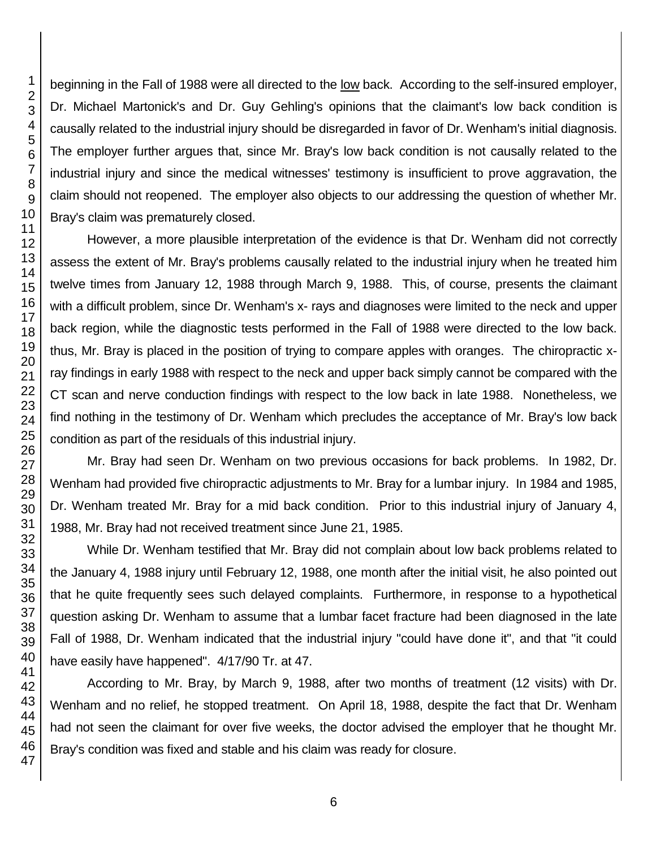beginning in the Fall of 1988 were all directed to the low back. According to the self-insured employer, Dr. Michael Martonick's and Dr. Guy Gehling's opinions that the claimant's low back condition is causally related to the industrial injury should be disregarded in favor of Dr. Wenham's initial diagnosis. The employer further argues that, since Mr. Bray's low back condition is not causally related to the industrial injury and since the medical witnesses' testimony is insufficient to prove aggravation, the claim should not reopened. The employer also objects to our addressing the question of whether Mr. Bray's claim was prematurely closed.

However, a more plausible interpretation of the evidence is that Dr. Wenham did not correctly assess the extent of Mr. Bray's problems causally related to the industrial injury when he treated him twelve times from January 12, 1988 through March 9, 1988. This, of course, presents the claimant with a difficult problem, since Dr. Wenham's x- rays and diagnoses were limited to the neck and upper back region, while the diagnostic tests performed in the Fall of 1988 were directed to the low back. thus, Mr. Bray is placed in the position of trying to compare apples with oranges. The chiropractic xray findings in early 1988 with respect to the neck and upper back simply cannot be compared with the CT scan and nerve conduction findings with respect to the low back in late 1988. Nonetheless, we find nothing in the testimony of Dr. Wenham which precludes the acceptance of Mr. Bray's low back condition as part of the residuals of this industrial injury.

Mr. Bray had seen Dr. Wenham on two previous occasions for back problems. In 1982, Dr. Wenham had provided five chiropractic adjustments to Mr. Bray for a lumbar injury. In 1984 and 1985, Dr. Wenham treated Mr. Bray for a mid back condition. Prior to this industrial injury of January 4, 1988, Mr. Bray had not received treatment since June 21, 1985.

While Dr. Wenham testified that Mr. Bray did not complain about low back problems related to the January 4, 1988 injury until February 12, 1988, one month after the initial visit, he also pointed out that he quite frequently sees such delayed complaints. Furthermore, in response to a hypothetical question asking Dr. Wenham to assume that a lumbar facet fracture had been diagnosed in the late Fall of 1988, Dr. Wenham indicated that the industrial injury "could have done it", and that "it could have easily have happened". 4/17/90 Tr. at 47.

According to Mr. Bray, by March 9, 1988, after two months of treatment (12 visits) with Dr. Wenham and no relief, he stopped treatment. On April 18, 1988, despite the fact that Dr. Wenham had not seen the claimant for over five weeks, the doctor advised the employer that he thought Mr. Bray's condition was fixed and stable and his claim was ready for closure.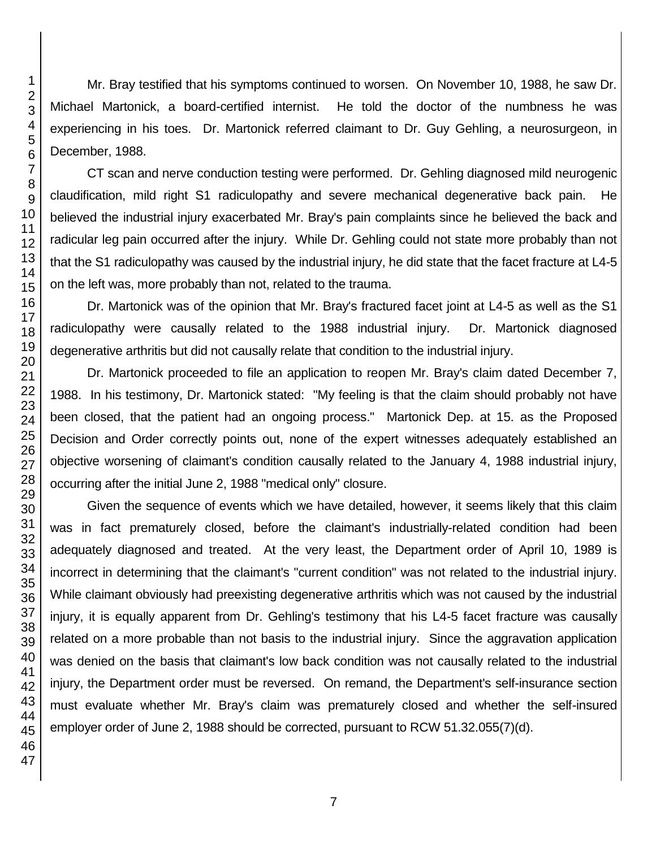Mr. Bray testified that his symptoms continued to worsen. On November 10, 1988, he saw Dr. Michael Martonick, a board-certified internist. He told the doctor of the numbness he was experiencing in his toes. Dr. Martonick referred claimant to Dr. Guy Gehling, a neurosurgeon, in December, 1988.

CT scan and nerve conduction testing were performed. Dr. Gehling diagnosed mild neurogenic claudification, mild right S1 radiculopathy and severe mechanical degenerative back pain. He believed the industrial injury exacerbated Mr. Bray's pain complaints since he believed the back and radicular leg pain occurred after the injury. While Dr. Gehling could not state more probably than not that the S1 radiculopathy was caused by the industrial injury, he did state that the facet fracture at L4-5 on the left was, more probably than not, related to the trauma.

Dr. Martonick was of the opinion that Mr. Bray's fractured facet joint at L4-5 as well as the S1 radiculopathy were causally related to the 1988 industrial injury. Dr. Martonick diagnosed degenerative arthritis but did not causally relate that condition to the industrial injury.

Dr. Martonick proceeded to file an application to reopen Mr. Bray's claim dated December 7, 1988. In his testimony, Dr. Martonick stated: "My feeling is that the claim should probably not have been closed, that the patient had an ongoing process." Martonick Dep. at 15. as the Proposed Decision and Order correctly points out, none of the expert witnesses adequately established an objective worsening of claimant's condition causally related to the January 4, 1988 industrial injury, occurring after the initial June 2, 1988 "medical only" closure.

Given the sequence of events which we have detailed, however, it seems likely that this claim was in fact prematurely closed, before the claimant's industrially-related condition had been adequately diagnosed and treated. At the very least, the Department order of April 10, 1989 is incorrect in determining that the claimant's "current condition" was not related to the industrial injury. While claimant obviously had preexisting degenerative arthritis which was not caused by the industrial injury, it is equally apparent from Dr. Gehling's testimony that his L4-5 facet fracture was causally related on a more probable than not basis to the industrial injury. Since the aggravation application was denied on the basis that claimant's low back condition was not causally related to the industrial injury, the Department order must be reversed. On remand, the Department's self-insurance section must evaluate whether Mr. Bray's claim was prematurely closed and whether the self-insured employer order of June 2, 1988 should be corrected, pursuant to RCW 51.32.055(7)(d).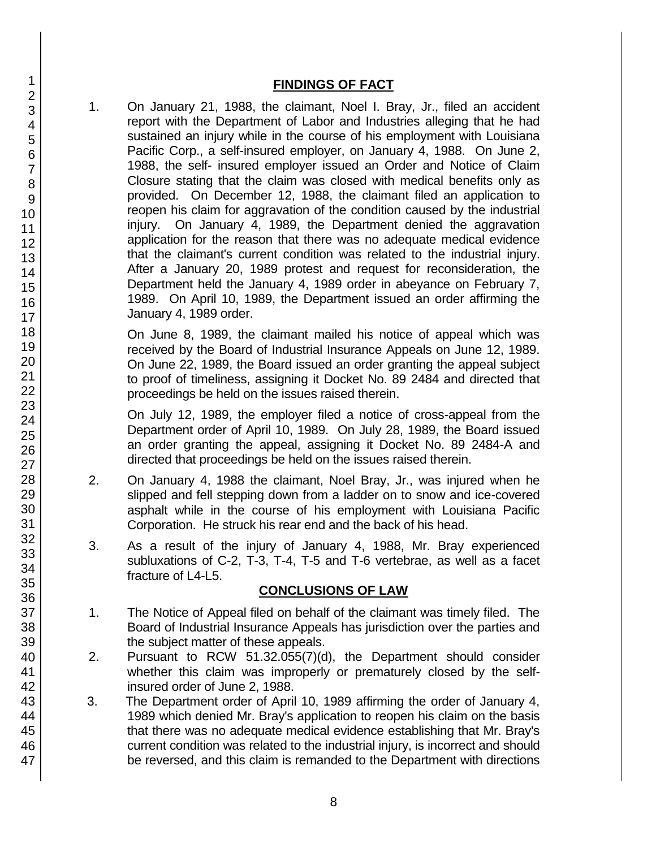## **FINDINGS OF FACT**

1. On January 21, 1988, the claimant, Noel I. Bray, Jr., filed an accident report with the Department of Labor and Industries alleging that he had sustained an injury while in the course of his employment with Louisiana Pacific Corp., a self-insured employer, on January 4, 1988. On June 2, 1988, the self- insured employer issued an Order and Notice of Claim Closure stating that the claim was closed with medical benefits only as provided. On December 12, 1988, the claimant filed an application to reopen his claim for aggravation of the condition caused by the industrial injury. On January 4, 1989, the Department denied the aggravation application for the reason that there was no adequate medical evidence that the claimant's current condition was related to the industrial injury. After a January 20, 1989 protest and request for reconsideration, the Department held the January 4, 1989 order in abeyance on February 7, 1989. On April 10, 1989, the Department issued an order affirming the January 4, 1989 order.

On June 8, 1989, the claimant mailed his notice of appeal which was received by the Board of Industrial Insurance Appeals on June 12, 1989. On June 22, 1989, the Board issued an order granting the appeal subject to proof of timeliness, assigning it Docket No. 89 2484 and directed that proceedings be held on the issues raised therein.

On July 12, 1989, the employer filed a notice of cross-appeal from the Department order of April 10, 1989. On July 28, 1989, the Board issued an order granting the appeal, assigning it Docket No. 89 2484-A and directed that proceedings be held on the issues raised therein.

- 2. On January 4, 1988 the claimant, Noel Bray, Jr., was injured when he slipped and fell stepping down from a ladder on to snow and ice-covered asphalt while in the course of his employment with Louisiana Pacific Corporation. He struck his rear end and the back of his head.
- 3. As a result of the injury of January 4, 1988, Mr. Bray experienced subluxations of C-2, T-3, T-4, T-5 and T-6 vertebrae, as well as a facet fracture of L4-L5.

## **CONCLUSIONS OF LAW**

- 1. The Notice of Appeal filed on behalf of the claimant was timely filed. The Board of Industrial Insurance Appeals has jurisdiction over the parties and the subject matter of these appeals.
- 2. Pursuant to RCW 51.32.055(7)(d), the Department should consider whether this claim was improperly or prematurely closed by the selfinsured order of June 2, 1988.
- 3. The Department order of April 10, 1989 affirming the order of January 4, 1989 which denied Mr. Bray's application to reopen his claim on the basis that there was no adequate medical evidence establishing that Mr. Bray's current condition was related to the industrial injury, is incorrect and should be reversed, and this claim is remanded to the Department with directions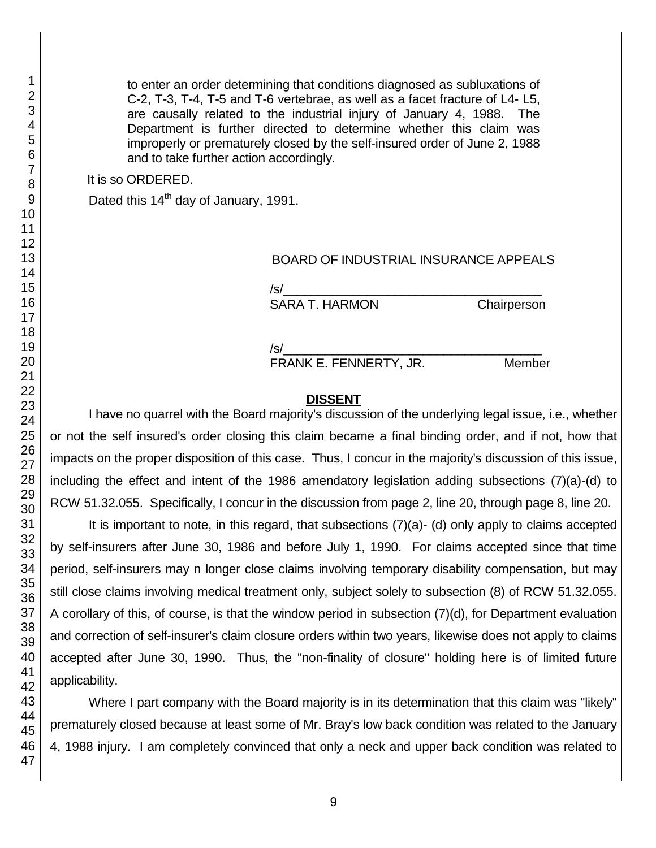to enter an order determining that conditions diagnosed as subluxations of C-2, T-3, T-4, T-5 and T-6 vertebrae, as well as a facet fracture of L4- L5, are causally related to the industrial injury of January 4, 1988. The Department is further directed to determine whether this claim was improperly or prematurely closed by the self-insured order of June 2, 1988 and to take further action accordingly.

It is so ORDERED.

Dated this 14<sup>th</sup> day of January, 1991.

#### BOARD OF INDUSTRIAL INSURANCE APPEALS

/s/\_\_\_\_\_\_\_\_\_\_\_\_\_\_\_\_\_\_\_\_\_\_\_\_\_\_\_\_\_\_\_\_\_\_\_\_\_

SARA T. HARMON Chairperson

/s/\_\_\_\_\_\_\_\_\_\_\_\_\_\_\_\_\_\_\_\_\_\_\_\_\_\_\_\_\_\_\_\_\_\_\_\_\_

FRANK E. FENNERTY, JR. Member

#### **DISSENT**

I have no quarrel with the Board majority's discussion of the underlying legal issue, i.e., whether or not the self insured's order closing this claim became a final binding order, and if not, how that impacts on the proper disposition of this case. Thus, I concur in the majority's discussion of this issue, including the effect and intent of the 1986 amendatory legislation adding subsections (7)(a)-(d) to RCW 51.32.055. Specifically, I concur in the discussion from page 2, line 20, through page 8, line 20.

It is important to note, in this regard, that subsections (7)(a)- (d) only apply to claims accepted by self-insurers after June 30, 1986 and before July 1, 1990. For claims accepted since that time period, self-insurers may n longer close claims involving temporary disability compensation, but may still close claims involving medical treatment only, subject solely to subsection (8) of RCW 51.32.055. A corollary of this, of course, is that the window period in subsection (7)(d), for Department evaluation and correction of self-insurer's claim closure orders within two years, likewise does not apply to claims accepted after June 30, 1990. Thus, the "non-finality of closure" holding here is of limited future applicability.

Where I part company with the Board majority is in its determination that this claim was "likely" prematurely closed because at least some of Mr. Bray's low back condition was related to the January 4, 1988 injury. I am completely convinced that only a neck and upper back condition was related to